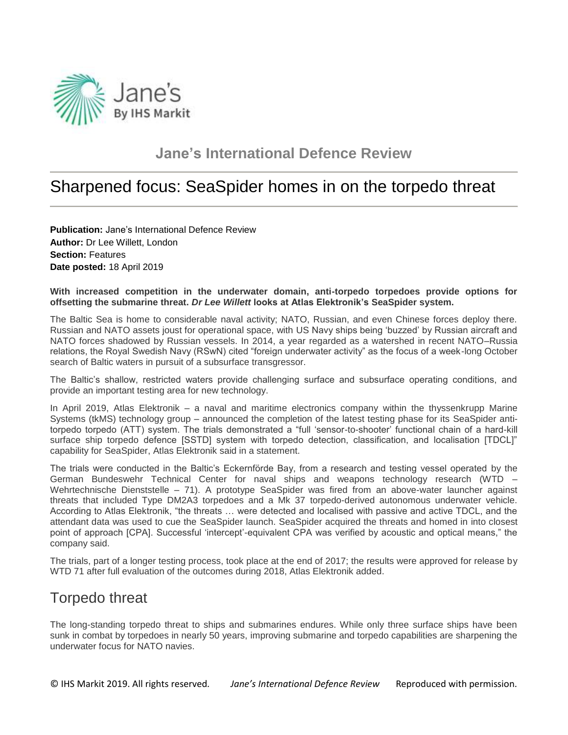

### **Jane's International Defence Review**

# Sharpened focus: SeaSpider homes in on the torpedo threat

**Publication:** Jane's International Defence Review **Author:** Dr Lee Willett, London **Section:** Features **Date posted:** 18 April 2019

#### With increased competition in the underwater domain, anti-torpedo torpedoes provide options for **offsetting the submarine threat.** *Dr Lee Willett* **looks at Atlas Elektronik's SeaSpider system.**

The Baltic Sea is home to considerable naval activity; NATO, Russian, and even Chinese forces deploy there. Russian and NATO assets joust for operational space, with US Navy ships being 'buzzed' by Russian aircraft and NATO forces shadowed by Russian vessels. In 2014, a year regarded as a watershed in recent NATO–Russia relations, the Royal Swedish Navy (RSwN) cited "foreign underwater activity" as the focus of a week-long October search of Baltic waters in pursuit of a subsurface transgressor.

The Baltic's shallow, restricted waters provide challenging surface and subsurface operating conditions, and provide an important testing area for new technology.

In April 2019, Atlas Elektronik – a naval and maritime electronics company within the thyssenkrupp Marine Systems (tkMS) technology group – announced the completion of the latest testing phase for its SeaSpider antitorpedo torpedo (ATT) system. The trials demonstrated a "full 'sensor-to-shooter' functional chain of a hard-kill surface ship torpedo defence [SSTD] system with torpedo detection, classification, and localisation [TDCL]" capability for SeaSpider, Atlas Elektronik said in a statement.

The trials were conducted in the Baltic's Eckernförde Bay, from a research and testing vessel operated by the German Bundeswehr Technical Center for naval ships and weapons technology research (WTD – Wehrtechnische Dienststelle – 71). A prototype SeaSpider was fired from an above-water launcher against threats that included Type DM2A3 torpedoes and a Mk 37 torpedo-derived autonomous underwater vehicle. According to Atlas Elektronik, "the threats … were detected and localised with passive and active TDCL, and the attendant data was used to cue the SeaSpider launch. SeaSpider acquired the threats and homed in into closest point of approach [CPA]. Successful 'intercept'-equivalent CPA was verified by acoustic and optical means," the company said.

The trials, part of a longer testing process, took place at the end of 2017; the results were approved for release by WTD 71 after full evaluation of the outcomes during 2018, Atlas Elektronik added.

### Torpedo threat

The long-standing torpedo threat to ships and submarines endures. While only three surface ships have been sunk in combat by torpedoes in nearly 50 years, improving submarine and torpedo capabilities are sharpening the underwater focus for NATO navies.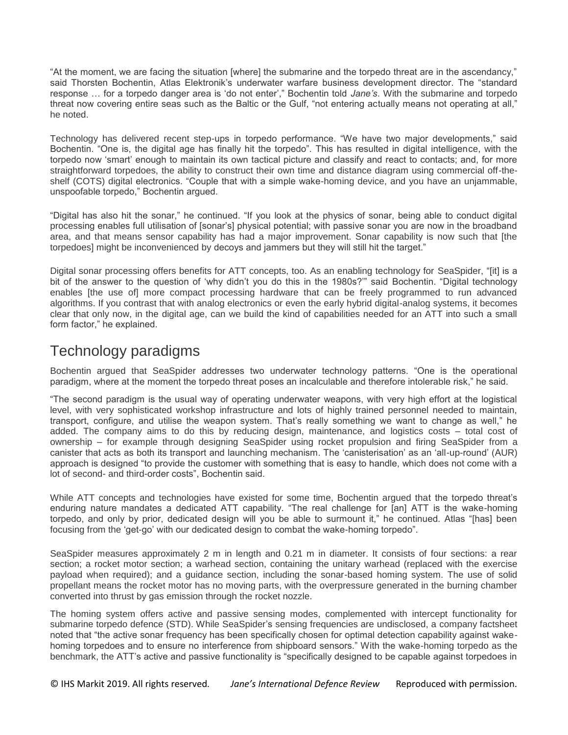"At the moment, we are facing the situation [where] the submarine and the torpedo threat are in the ascendancy," said Thorsten Bochentin, Atlas Elektronik's underwater warfare business development director. The "standard response … for a torpedo danger area is 'do not enter'," Bochentin told *Jane's*. With the submarine and torpedo threat now covering entire seas such as the Baltic or the Gulf, "not entering actually means not operating at all," he noted.

Technology has delivered recent step-ups in torpedo performance. "We have two major developments," said Bochentin. "One is, the digital age has finally hit the torpedo". This has resulted in digital intelligence, with the torpedo now 'smart' enough to maintain its own tactical picture and classify and react to contacts; and, for more straightforward torpedoes, the ability to construct their own time and distance diagram using commercial off-theshelf (COTS) digital electronics. "Couple that with a simple wake-homing device, and you have an unjammable, unspoofable torpedo," Bochentin argued.

"Digital has also hit the sonar," he continued. "If you look at the physics of sonar, being able to conduct digital processing enables full utilisation of [sonar's] physical potential; with passive sonar you are now in the broadband area, and that means sensor capability has had a major improvement. Sonar capability is now such that [the torpedoes] might be inconvenienced by decoys and jammers but they will still hit the target."

Digital sonar processing offers benefits for ATT concepts, too. As an enabling technology for SeaSpider, "[it] is a bit of the answer to the question of 'why didn't you do this in the 1980s?'" said Bochentin. "Digital technology enables [the use of] more compact processing hardware that can be freely programmed to run advanced algorithms. If you contrast that with analog electronics or even the early hybrid digital-analog systems, it becomes clear that only now, in the digital age, can we build the kind of capabilities needed for an ATT into such a small form factor," he explained.

### Technology paradigms

Bochentin argued that SeaSpider addresses two underwater technology patterns. "One is the operational paradigm, where at the moment the torpedo threat poses an incalculable and therefore intolerable risk," he said.

"The second paradigm is the usual way of operating underwater weapons, with very high effort at the logistical level, with very sophisticated workshop infrastructure and lots of highly trained personnel needed to maintain, transport, configure, and utilise the weapon system. That's really something we want to change as well," he added. The company aims to do this by reducing design, maintenance, and logistics costs – total cost of ownership – for example through designing SeaSpider using rocket propulsion and firing SeaSpider from a canister that acts as both its transport and launching mechanism. The 'canisterisation' as an 'all-up-round' (AUR) approach is designed "to provide the customer with something that is easy to handle, which does not come with a lot of second- and third-order costs", Bochentin said.

While ATT concepts and technologies have existed for some time, Bochentin argued that the torpedo threat's enduring nature mandates a dedicated ATT capability. "The real challenge for [an] ATT is the wake-homing torpedo, and only by prior, dedicated design will you be able to surmount it," he continued. Atlas "[has] been focusing from the 'get-go' with our dedicated design to combat the wake-homing torpedo".

SeaSpider measures approximately 2 m in length and 0.21 m in diameter. It consists of four sections: a rear section; a rocket motor section; a warhead section, containing the unitary warhead (replaced with the exercise payload when required); and a guidance section, including the sonar-based homing system. The use of solid propellant means the rocket motor has no moving parts, with the overpressure generated in the burning chamber converted into thrust by gas emission through the rocket nozzle.

The homing system offers active and passive sensing modes, complemented with intercept functionality for submarine torpedo defence (STD). While SeaSpider's sensing frequencies are undisclosed, a company factsheet noted that "the active sonar frequency has been specifically chosen for optimal detection capability against wakehoming torpedoes and to ensure no interference from shipboard sensors." With the wake-homing torpedo as the benchmark, the ATT's active and passive functionality is "specifically designed to be capable against torpedoes in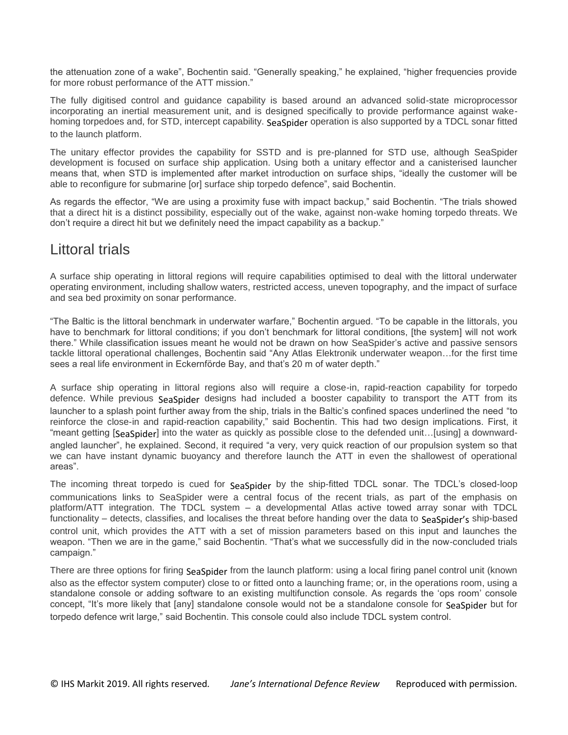the attenuation zone of a wake", Bochentin said. "Generally speaking," he explained, "higher frequencies provide for more robust performance of the ATT mission."

The fully digitised control and guidance capability is based around an advanced solid-state microprocessor incorporating an inertial measurement unit, and is designed specifically to provide performance against wakehoming torpedoes and, for STD, intercept capability. SeaSpider operation is also supported by a TDCL sonar fitted to the launch platform.

The unitary effector provides the capability for SSTD and is pre-planned for STD use, although SeaSpider development is focused on surface ship application. Using both a unitary effector and a canisterised launcher means that, when STD is implemented after market introduction on surface ships, "ideally the customer will be able to reconfigure for submarine [or] surface ship torpedo defence", said Bochentin.

As regards the effector, "We are using a proximity fuse with impact backup," said Bochentin. "The trials showed that a direct hit is a distinct possibility, especially out of the wake, against non-wake homing torpedo threats. We don't require a direct hit but we definitely need the impact capability as a backup."

### Littoral trials

A surface ship operating in littoral regions will require capabilities optimised to deal with the littoral underwater operating environment, including shallow waters, restricted access, uneven topography, and the impact of surface and sea bed proximity on sonar performance.

"The Baltic is the littoral benchmark in underwater warfare," Bochentin argued. "To be capable in the littorals, you have to benchmark for littoral conditions; if you don't benchmark for littoral conditions, [the system] will not work there." While classification issues meant he would not be drawn on how SeaSpider's active and passive sensors tackle littoral operational challenges, Bochentin said "Any Atlas Elektronik underwater weapon…for the first time sees a real life environment in Eckernförde Bay, and that's 20 m of water depth."

A surface ship operating in littoral regions also will require a close-in, rapid-reaction capability for torpedo defence. While previous SeaSpider designs had included a booster capability to transport the ATT from its launcher to a splash point further away from the ship, trials in the Baltic's confined spaces underlined the need "to reinforce the close-in and rapid-reaction capability," said Bochentin. This had two design implications. First, it "meant getting [SeaSpider] into the water as quickly as possible close to the defended unit...[using] a downwardangled launcher", he explained. Second, it required "a very, very quick reaction of our propulsion system so that we can have instant dynamic buoyancy and therefore launch the ATT in even the shallowest of operational areas".

The incoming threat torpedo is cued for SeaSpider by the ship-fitted TDCL sonar. The TDCL's closed-loop communications links to SeaSpider were a central focus of the recent trials, as part of the emphasis on platform/ATT integration. The TDCL system – a developmental Atlas active towed array sonar with TDCL functionality – detects, classifies, and localises the threat before handing over the data to SeaSpider's ship-based control unit, which provides the ATT with a set of mission parameters based on this input and launches the weapon. "Then we are in the game," said Bochentin. "That's what we successfully did in the now-concluded trials campaign."

There are three options for firing SeaSpider from the launch platform: using a local firing panel control unit (known also as the effector system computer) close to or fitted onto a launching frame; or, in the operations room, using a standalone console or adding software to an existing multifunction console. As regards the 'ops room' console concept, "It's more likely that [any] standalone console would not be a standalone console for SeaSpider but for torpedo defence writ large," said Bochentin. This console could also include TDCL system control.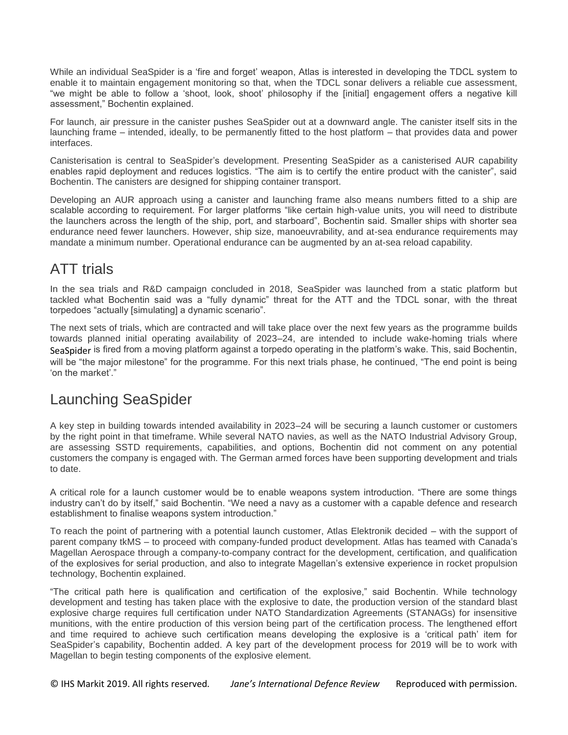While an individual SeaSpider is a 'fire and forget' weapon, Atlas is interested in developing the TDCL system to enable it to maintain engagement monitoring so that, when the TDCL sonar delivers a reliable cue assessment, "we might be able to follow a 'shoot, look, shoot' philosophy if the [initial] engagement offers a negative kill assessment," Bochentin explained.

For launch, air pressure in the canister pushes SeaSpider out at a downward angle. The canister itself sits in the launching frame – intended, ideally, to be permanently fitted to the host platform – that provides data and power interfaces.

Canisterisation is central to SeaSpider's development. Presenting SeaSpider as a canisterised AUR capability enables rapid deployment and reduces logistics. "The aim is to certify the entire product with the canister", said Bochentin. The canisters are designed for shipping container transport.

Developing an AUR approach using a canister and launching frame also means numbers fitted to a ship are scalable according to requirement. For larger platforms "like certain high-value units, you will need to distribute the launchers across the length of the ship, port, and starboard", Bochentin said. Smaller ships with shorter sea endurance need fewer launchers. However, ship size, manoeuvrability, and at-sea endurance requirements may mandate a minimum number. Operational endurance can be augmented by an at-sea reload capability.

# ATT trials

In the sea trials and R&D campaign concluded in 2018, SeaSpider was launched from a static platform but tackled what Bochentin said was a "fully dynamic" threat for the ATT and the TDCL sonar, with the threat torpedoes "actually [simulating] a dynamic scenario".

The next sets of trials, which are contracted and will take place over the next few years as the programme builds towards planned initial operating availability of 2023–24, are intended to include wake-homing trials where SeaSpider is fired from a moving platform against a torpedo operating in the platform's wake. This, said Bochentin, will be "the major milestone" for the programme. For this next trials phase, he continued, "The end point is being 'on the market'.'

# Launching SeaSpider

A key step in building towards intended availability in 2023–24 will be securing a launch customer or customers by the right point in that timeframe. While several NATO navies, as well as the NATO Industrial Advisory Group, are assessing SSTD requirements, capabilities, and options, Bochentin did not comment on any potential customers the company is engaged with. The German armed forces have been supporting development and trials to date.

A critical role for a launch customer would be to enable weapons system introduction. "There are some things industry can't do by itself," said Bochentin. "We need a navy as a customer with a capable defence and research establishment to finalise weapons system introduction."

To reach the point of partnering with a potential launch customer, Atlas Elektronik decided – with the support of parent company tkMS – to proceed with company-funded product development. Atlas has teamed with Canada's Magellan Aerospace through a company-to-company contract for the development, certification, and qualification of the explosives for serial production, and also to integrate Magellan's extensive experience in rocket propulsion technology, Bochentin explained.

"The critical path here is qualification and certification of the explosive," said Bochentin. While technology development and testing has taken place with the explosive to date, the production version of the standard blast explosive charge requires full certification under NATO Standardization Agreements (STANAGs) for insensitive munitions, with the entire production of this version being part of the certification process. The lengthened effort and time required to achieve such certification means developing the explosive is a 'critical path' item for SeaSpider's capability, Bochentin added. A key part of the development process for 2019 will be to work with Magellan to begin testing components of the explosive element.